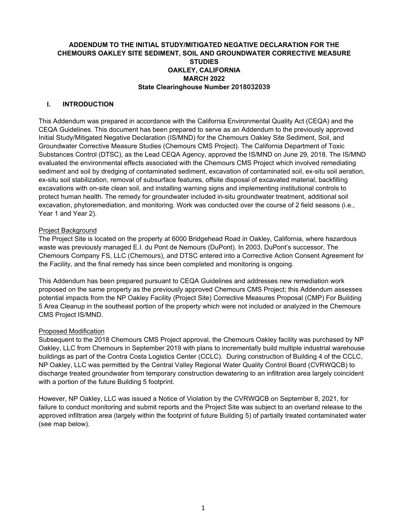# **ADDENDUM TO THE INITIAL STUDY/MITIGATED NEGATIVE DECLARATION FOR THE CHEMOURS OAKLEY SITE SEDIMENT, SOIL AND GROUNDWATER CORRECTIVE MEASURE STUDIES OAKLEY, CALIFORNIA MARCH 2022 State Clearinghouse Number 2018032039**

#### **I. INTRODUCTION**

This Addendum was prepared in accordance with the California Environmental Quality Act (CEQA) and the CEQA Guidelines. This document has been prepared to serve as an Addendum to the previously approved Initial Study/Mitigated Negative Declaration (IS/MND) for the Chemours Oakley Site Sediment, Soil, and Groundwater Corrective Measure Studies (Chemours CMS Project). The California Department of Toxic Substances Control (DTSC), as the Lead CEQA Agency, approved the IS/MND on June 29, 2018. The IS/MND evaluated the environmental effects associated with the Chemours CMS Project which involved remediating sediment and soil by dredging of contaminated sediment, excavation of contaminated soil, ex-situ soil aeration, ex-situ soil stabilization, removal of subsurface features, offsite disposal of excavated material, backfilling excavations with on-site clean soil, and installing warning signs and implementing institutional controls to protect human health. The remedy for groundwater included in-situ groundwater treatment, additional soil excavation, phytoremediation, and monitoring. Work was conducted over the course of 2 field seasons (i.e., Year 1 and Year 2).

#### Project Background

The Project Site is located on the property at 6000 Bridgehead Road in Oakley, California, where hazardous waste was previously managed E.I. du Pont de Nemours (DuPont). In 2003, DuPont's successor, The Chemours Company FS, LLC (Chemours), and DTSC entered into a Corrective Action Consent Agreement for the Facility, and the final remedy has since been completed and monitoring is ongoing.

This Addendum has been prepared pursuant to CEQA Guidelines and addresses new remediation work proposed on the same property as the previously approved Chemours CMS Project; this Addendum assesses potential impacts from the NP Oakley Facility (Project Site) Corrective Measures Proposal (CMP) For Building 5 Area Cleanup in the southeast portion of the property which were not included or analyzed in the Chemours CMS Project IS/MND.

#### Proposed Modification

Subsequent to the 2018 Chemours CMS Project approval, the Chemours Oakley facility was purchased by NP Oakley, LLC from Chemours in September 2019 with plans to incrementally build multiple industrial warehouse buildings as part of the Contra Costa Logistics Center (CCLC). During construction of Building 4 of the CCLC, NP Oakley, LLC was permitted by the Central Valley Regional Water Quality Control Board (CVRWQCB) to discharge treated groundwater from temporary construction dewatering to an infiltration area largely coincident with a portion of the future Building 5 footprint.

However, NP Oakley, LLC was issued a Notice of Violation by the CVRWQCB on September 8, 2021, for failure to conduct monitoring and submit reports and the Project Site was subject to an overland release to the approved infiltration area (largely within the footprint of future Building 5) of partially treated contaminated water (see map below).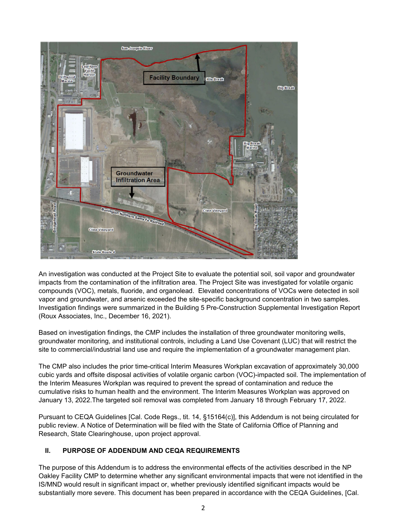

An investigation was conducted at the Project Site to evaluate the potential soil, soil vapor and groundwater impacts from the contamination of the infiltration area. The Project Site was investigated for volatile organic compounds (VOC), metals, fluoride, and organolead. Elevated concentrations of VOCs were detected in soil vapor and groundwater, and arsenic exceeded the site-specific background concentration in two samples. Investigation findings were summarized in the Building 5 Pre-Construction Supplemental Investigation Report (Roux Associates, Inc., December 16, 2021).

Based on investigation findings, the CMP includes the installation of three groundwater monitoring wells, groundwater monitoring, and institutional controls, including a Land Use Covenant (LUC) that will restrict the site to commercial/industrial land use and require the implementation of a groundwater management plan.

The CMP also includes the prior time-critical Interim Measures Workplan excavation of approximately 30,000 cubic yards and offsite disposal activities of volatile organic carbon (VOC)-impacted soil. The implementation of the Interim Measures Workplan was required to prevent the spread of contamination and reduce the cumulative risks to human health and the environment. The Interim Measures Workplan was approved on January 13, 2022.The targeted soil removal was completed from January 18 through February 17, 2022.

Pursuant to CEQA Guidelines [Cal. Code Regs., tit. 14, §15164(c)], this Addendum is not being circulated for public review. A Notice of Determination will be filed with the State of California Office of Planning and Research, State Clearinghouse, upon project approval.

# **II. PURPOSE OF ADDENDUM AND CEQA REQUIREMENTS**

The purpose of this Addendum is to address the environmental effects of the activities described in the NP Oakley Facility CMP to determine whether any significant environmental impacts that were not identified in the IS/MND would result in significant impact or, whether previously identified significant impacts would be substantially more severe. This document has been prepared in accordance with the CEQA Guidelines, [Cal.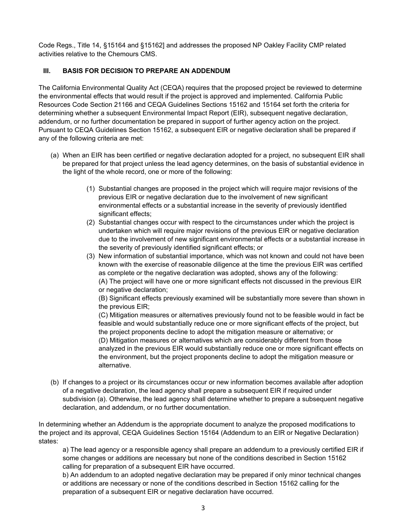Code Regs., Title 14, §15164 and §15162] and addresses the proposed NP Oakley Facility CMP related activities relative to the Chemours CMS.

## **III. BASIS FOR DECISION TO PREPARE AN ADDENDUM**

The California Environmental Quality Act (CEQA) requires that the proposed project be reviewed to determine the environmental effects that would result if the project is approved and implemented. California Public Resources Code Section 21166 and CEQA Guidelines Sections 15162 and 15164 set forth the criteria for determining whether a subsequent Environmental Impact Report (EIR), subsequent negative declaration, addendum, or no further documentation be prepared in support of further agency action on the project. Pursuant to CEQA Guidelines Section 15162, a subsequent EIR or negative declaration shall be prepared if any of the following criteria are met:

- (a) When an EIR has been certified or negative declaration adopted for a project, no subsequent EIR shall be prepared for that project unless the lead agency determines, on the basis of substantial evidence in the light of the whole record, one or more of the following:
	- (1) Substantial changes are proposed in the project which will require major revisions of the previous EIR or negative declaration due to the involvement of new significant environmental effects or a substantial increase in the severity of previously identified significant effects;
	- (2) Substantial changes occur with respect to the circumstances under which the project is undertaken which will require major revisions of the previous EIR or negative declaration due to the involvement of new significant environmental effects or a substantial increase in the severity of previously identified significant effects; or
	- (3) New information of substantial importance, which was not known and could not have been known with the exercise of reasonable diligence at the time the previous EIR was certified as complete or the negative declaration was adopted, shows any of the following: (A) The project will have one or more significant effects not discussed in the previous EIR or negative declaration;

(B) Significant effects previously examined will be substantially more severe than shown in the previous EIR;

(C) Mitigation measures or alternatives previously found not to be feasible would in fact be feasible and would substantially reduce one or more significant effects of the project, but the project proponents decline to adopt the mitigation measure or alternative; or (D) Mitigation measures or alternatives which are considerably different from those analyzed in the previous EIR would substantially reduce one or more significant effects on the environment, but the project proponents decline to adopt the mitigation measure or alternative.

(b) If changes to a project or its circumstances occur or new information becomes available after adoption of a negative declaration, the lead agency shall prepare a subsequent EIR if required under subdivision (a). Otherwise, the lead agency shall determine whether to prepare a subsequent negative declaration, and addendum, or no further documentation.

In determining whether an Addendum is the appropriate document to analyze the proposed modifications to the project and its approval, CEQA Guidelines Section 15164 (Addendum to an EIR or Negative Declaration) states:

a) The lead agency or a responsible agency shall prepare an addendum to a previously certified EIR if some changes or additions are necessary but none of the conditions described in Section 15162 calling for preparation of a subsequent EIR have occurred.

b) An addendum to an adopted negative declaration may be prepared if only minor technical changes or additions are necessary or none of the conditions described in Section 15162 calling for the preparation of a subsequent EIR or negative declaration have occurred.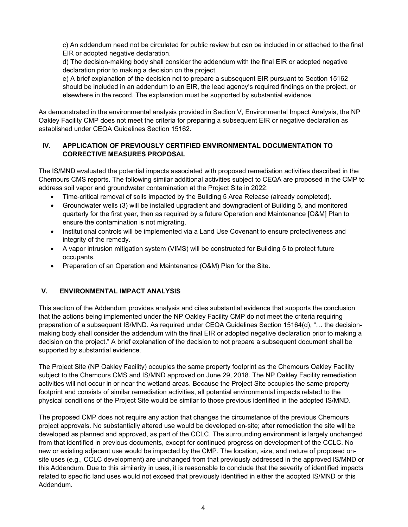c) An addendum need not be circulated for public review but can be included in or attached to the final EIR or adopted negative declaration.

d) The decision-making body shall consider the addendum with the final EIR or adopted negative declaration prior to making a decision on the project.

e) A brief explanation of the decision not to prepare a subsequent EIR pursuant to Section 15162 should be included in an addendum to an EIR, the lead agency's required findings on the project, or elsewhere in the record. The explanation must be supported by substantial evidence.

As demonstrated in the environmental analysis provided in Section V, Environmental Impact Analysis, the NP Oakley Facility CMP does not meet the criteria for preparing a subsequent EIR or negative declaration as established under CEQA Guidelines Section 15162.

## **IV. APPLICATION OF PREVIOUSLY CERTIFIED ENVIRONMENTAL DOCUMENTATION TO CORRECTIVE MEASURES PROPOSAL**

The IS/MND evaluated the potential impacts associated with proposed remediation activities described in the Chemours CMS reports. The following similar additional activities subject to CEQA are proposed in the CMP to address soil vapor and groundwater contamination at the Project Site in 2022:

- Time-critical removal of soils impacted by the Building 5 Area Release (already completed).
- Groundwater wells (3) will be installed upgradient and downgradient of Building 5, and monitored quarterly for the first year, then as required by a future Operation and Maintenance [O&M] Plan to ensure the contamination is not migrating.
- Institutional controls will be implemented via a Land Use Covenant to ensure protectiveness and integrity of the remedy.
- A vapor intrusion mitigation system (VIMS) will be constructed for Building 5 to protect future occupants.
- Preparation of an Operation and Maintenance (O&M) Plan for the Site.

# **V. ENVIRONMENTAL IMPACT ANALYSIS**

This section of the Addendum provides analysis and cites substantial evidence that supports the conclusion that the actions being implemented under the NP Oakley Facility CMP do not meet the criteria requiring preparation of a subsequent IS/MND. As required under CEQA Guidelines Section 15164(d), "… the decisionmaking body shall consider the addendum with the final EIR or adopted negative declaration prior to making a decision on the project." A brief explanation of the decision to not prepare a subsequent document shall be supported by substantial evidence.

The Project Site (NP Oakley Facility) occupies the same property footprint as the Chemours Oakley Facility subject to the Chemours CMS and IS/MND approved on June 29, 2018. The NP Oakley Facility remediation activities will not occur in or near the wetland areas. Because the Project Site occupies the same property footprint and consists of similar remediation activities, all potential environmental impacts related to the physical conditions of the Project Site would be similar to those previous identified in the adopted IS/MND.

The proposed CMP does not require any action that changes the circumstance of the previous Chemours project approvals. No substantially altered use would be developed on-site; after remediation the site will be developed as planned and approved, as part of the CCLC. The surrounding environment is largely unchanged from that identified in previous documents, except for continued progress on development of the CCLC. No new or existing adjacent use would be impacted by the CMP. The location, size, and nature of proposed onsite uses (e.g., CCLC development) are unchanged from that previously addressed in the approved IS/MND or this Addendum. Due to this similarity in uses, it is reasonable to conclude that the severity of identified impacts related to specific land uses would not exceed that previously identified in either the adopted IS/MND or this Addendum.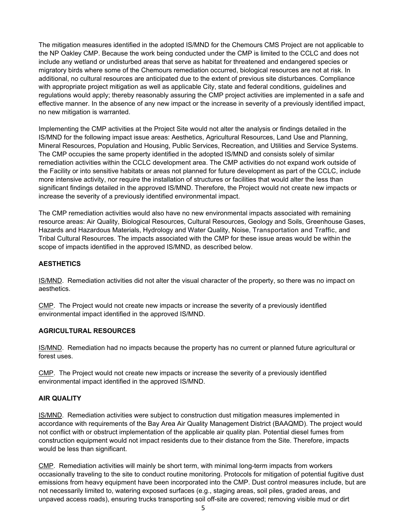The mitigation measures identified in the adopted IS/MND for the Chemours CMS Project are not applicable to the NP Oakley CMP. Because the work being conducted under the CMP is limited to the CCLC and does not include any wetland or undisturbed areas that serve as habitat for threatened and endangered species or migratory birds where some of the Chemours remediation occurred, biological resources are not at risk. In additional, no cultural resources are anticipated due to the extent of previous site disturbances. Compliance with appropriate project mitigation as well as applicable City, state and federal conditions, guidelines and regulations would apply; thereby reasonably assuring the CMP project activities are implemented in a safe and effective manner. In the absence of any new impact or the increase in severity of a previously identified impact, no new mitigation is warranted.

Implementing the CMP activities at the Project Site would not alter the analysis or findings detailed in the IS/MND for the following impact issue areas: Aesthetics, Agricultural Resources, Land Use and Planning, Mineral Resources, Population and Housing, Public Services, Recreation, and Utilities and Service Systems. The CMP occupies the same property identified in the adopted IS/MND and consists solely of similar remediation activities within the CCLC development area. The CMP activities do not expand work outside of the Facility or into sensitive habitats or areas not planned for future development as part of the CCLC, include more intensive activity, nor require the installation of structures or facilities that would alter the less than significant findings detailed in the approved IS/MND. Therefore, the Project would not create new impacts or increase the severity of a previously identified environmental impact.

The CMP remediation activities would also have no new environmental impacts associated with remaining resource areas: Air Quality, Biological Resources, Cultural Resources, Geology and Soils, Greenhouse Gases, Hazards and Hazardous Materials, Hydrology and Water Quality, Noise, Transportation and Traffic, and Tribal Cultural Resources. The impacts associated with the CMP for these issue areas would be within the scope of impacts identified in the approved IS/MND, as described below.

### **AESTHETICS**

IS/MND. Remediation activities did not alter the visual character of the property, so there was no impact on aesthetics.

CMP. The Project would not create new impacts or increase the severity of a previously identified environmental impact identified in the approved IS/MND.

### **AGRICULTURAL RESOURCES**

IS/MND. Remediation had no impacts because the property has no current or planned future agricultural or forest uses.

CMP. The Project would not create new impacts or increase the severity of a previously identified environmental impact identified in the approved IS/MND.

#### **AIR QUALITY**

IS/MND. Remediation activities were subject to construction dust mitigation measures implemented in accordance with requirements of the Bay Area Air Quality Management District (BAAQMD). The project would not conflict with or obstruct implementation of the applicable air quality plan. Potential diesel fumes from construction equipment would not impact residents due to their distance from the Site. Therefore, impacts would be less than significant.

CMP. Remediation activities will mainly be short term, with minimal long-term impacts from workers occasionally traveling to the site to conduct routine monitoring. Protocols for mitigation of potential fugitive dust emissions from heavy equipment have been incorporated into the CMP. Dust control measures include, but are not necessarily limited to, watering exposed surfaces (e.g., staging areas, soil piles, graded areas, and unpaved access roads), ensuring trucks transporting soil off-site are covered; removing visible mud or dirt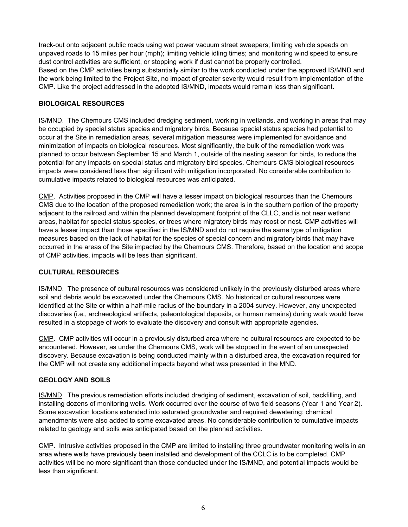track-out onto adjacent public roads using wet power vacuum street sweepers; limiting vehicle speeds on unpaved roads to 15 miles per hour (mph); limiting vehicle idling times; and monitoring wind speed to ensure dust control activities are sufficient, or stopping work if dust cannot be properly controlled. Based on the CMP activities being substantially similar to the work conducted under the approved IS/MND and the work being limited to the Project Site, no impact of greater severity would result from implementation of the CMP. Like the project addressed in the adopted IS/MND, impacts would remain less than significant.

### **BIOLOGICAL RESOURCES**

IS/MND. The Chemours CMS included dredging sediment, working in wetlands, and working in areas that may be occupied by special status species and migratory birds. Because special status species had potential to occur at the Site in remediation areas, several mitigation measures were implemented for avoidance and minimization of impacts on biological resources. Most significantly, the bulk of the remediation work was planned to occur between September 15 and March 1, outside of the nesting season for birds, to reduce the potential for any impacts on special status and migratory bird species. Chemours CMS biological resources impacts were considered less than significant with mitigation incorporated. No considerable contribution to cumulative impacts related to biological resources was anticipated.

CMP. Activities proposed in the CMP will have a lesser impact on biological resources than the Chemours CMS due to the location of the proposed remediation work; the area is in the southern portion of the property adjacent to the railroad and within the planned development footprint of the CLLC, and is not near wetland areas, habitat for special status species, or trees where migratory birds may roost or nest. CMP activities will have a lesser impact than those specified in the IS/MND and do not require the same type of mitigation measures based on the lack of habitat for the species of special concern and migratory birds that may have occurred in the areas of the Site impacted by the Chemours CMS. Therefore, based on the location and scope of CMP activities, impacts will be less than significant.

### **CULTURAL RESOURCES**

IS/MND. The presence of cultural resources was considered unlikely in the previously disturbed areas where soil and debris would be excavated under the Chemours CMS. No historical or cultural resources were identified at the Site or within a half-mile radius of the boundary in a 2004 survey. However, any unexpected discoveries (i.e., archaeological artifacts, paleontological deposits, or human remains) during work would have resulted in a stoppage of work to evaluate the discovery and consult with appropriate agencies.

CMP. CMP activities will occur in a previously disturbed area where no cultural resources are expected to be encountered. However, as under the Chemours CMS, work will be stopped in the event of an unexpected discovery. Because excavation is being conducted mainly within a disturbed area, the excavation required for the CMP will not create any additional impacts beyond what was presented in the MND.

### **GEOLOGY AND SOILS**

IS/MND. The previous remediation efforts included dredging of sediment, excavation of soil, backfilling, and installing dozens of monitoring wells. Work occurred over the course of two field seasons (Year 1 and Year 2). Some excavation locations extended into saturated groundwater and required dewatering; chemical amendments were also added to some excavated areas. No considerable contribution to cumulative impacts related to geology and soils was anticipated based on the planned activities.

CMP. Intrusive activities proposed in the CMP are limited to installing three groundwater monitoring wells in an area where wells have previously been installed and development of the CCLC is to be completed. CMP activities will be no more significant than those conducted under the IS/MND, and potential impacts would be less than significant.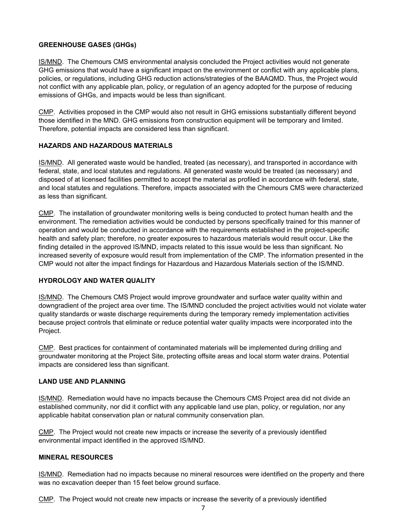## **GREENHOUSE GASES (GHGs)**

IS/MND. The Chemours CMS environmental analysis concluded the Project activities would not generate GHG emissions that would have a significant impact on the environment or conflict with any applicable plans, policies, or regulations, including GHG reduction actions/strategies of the BAAQMD. Thus, the Project would not conflict with any applicable plan, policy, or regulation of an agency adopted for the purpose of reducing emissions of GHGs, and impacts would be less than significant.

CMP. Activities proposed in the CMP would also not result in GHG emissions substantially different beyond those identified in the MND. GHG emissions from construction equipment will be temporary and limited. Therefore, potential impacts are considered less than significant.

### **HAZARDS AND HAZARDOUS MATERIALS**

IS/MND. All generated waste would be handled, treated (as necessary), and transported in accordance with federal, state, and local statutes and regulations. All generated waste would be treated (as necessary) and disposed of at licensed facilities permitted to accept the material as profiled in accordance with federal, state, and local statutes and regulations. Therefore, impacts associated with the Chemours CMS were characterized as less than significant.

CMP. The installation of groundwater monitoring wells is being conducted to protect human health and the environment. The remediation activities would be conducted by persons specifically trained for this manner of operation and would be conducted in accordance with the requirements established in the project-specific health and safety plan; therefore, no greater exposures to hazardous materials would result occur. Like the finding detailed in the approved IS/MND, impacts related to this issue would be less than significant. No increased severity of exposure would result from implementation of the CMP. The information presented in the CMP would not alter the impact findings for Hazardous and Hazardous Materials section of the IS/MND.

### **HYDROLOGY AND WATER QUALITY**

IS/MND. The Chemours CMS Project would improve groundwater and surface water quality within and downgradient of the project area over time. The IS/MND concluded the project activities would not violate water quality standards or waste discharge requirements during the temporary remedy implementation activities because project controls that eliminate or reduce potential water quality impacts were incorporated into the Project.

CMP. Best practices for containment of contaminated materials will be implemented during drilling and groundwater monitoring at the Project Site, protecting offsite areas and local storm water drains. Potential impacts are considered less than significant.

### **LAND USE AND PLANNING**

IS/MND. Remediation would have no impacts because the Chemours CMS Project area did not divide an established community, nor did it conflict with any applicable land use plan, policy, or regulation, nor any applicable habitat conservation plan or natural community conservation plan.

CMP. The Project would not create new impacts or increase the severity of a previously identified environmental impact identified in the approved IS/MND.

### **MINERAL RESOURCES**

IS/MND. Remediation had no impacts because no mineral resources were identified on the property and there was no excavation deeper than 15 feet below ground surface.

CMP. The Project would not create new impacts or increase the severity of a previously identified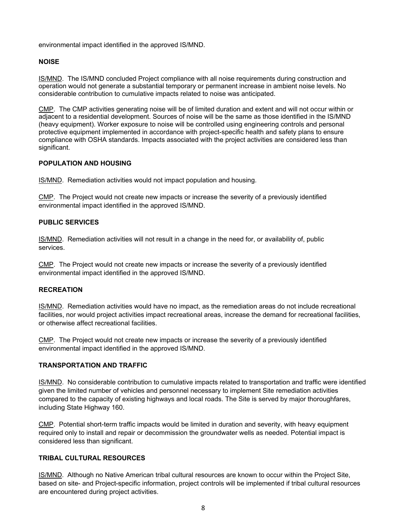environmental impact identified in the approved IS/MND.

### **NOISE**

IS/MND. The IS/MND concluded Project compliance with all noise requirements during construction and operation would not generate a substantial temporary or permanent increase in ambient noise levels. No considerable contribution to cumulative impacts related to noise was anticipated.

CMP. The CMP activities generating noise will be of limited duration and extent and will not occur within or adjacent to a residential development. Sources of noise will be the same as those identified in the IS/MND (heavy equipment). Worker exposure to noise will be controlled using engineering controls and personal protective equipment implemented in accordance with project-specific health and safety plans to ensure compliance with OSHA standards. Impacts associated with the project activities are considered less than significant.

### **POPULATION AND HOUSING**

IS/MND. Remediation activities would not impact population and housing.

CMP. The Project would not create new impacts or increase the severity of a previously identified environmental impact identified in the approved IS/MND.

### **PUBLIC SERVICES**

IS/MND. Remediation activities will not result in a change in the need for, or availability of, public services.

CMP. The Project would not create new impacts or increase the severity of a previously identified environmental impact identified in the approved IS/MND.

### **RECREATION**

IS/MND. Remediation activities would have no impact, as the remediation areas do not include recreational facilities, nor would project activities impact recreational areas, increase the demand for recreational facilities, or otherwise affect recreational facilities.

CMP. The Project would not create new impacts or increase the severity of a previously identified environmental impact identified in the approved IS/MND.

### **TRANSPORTATION AND TRAFFIC**

IS/MND. No considerable contribution to cumulative impacts related to transportation and traffic were identified given the limited number of vehicles and personnel necessary to implement Site remediation activities compared to the capacity of existing highways and local roads. The Site is served by major thoroughfares, including State Highway 160.

CMP. Potential short-term traffic impacts would be limited in duration and severity, with heavy equipment required only to install and repair or decommission the groundwater wells as needed. Potential impact is considered less than significant.

### **TRIBAL CULTURAL RESOURCES**

IS/MND. Although no Native American tribal cultural resources are known to occur within the Project Site, based on site- and Project-specific information, project controls will be implemented if tribal cultural resources are encountered during project activities.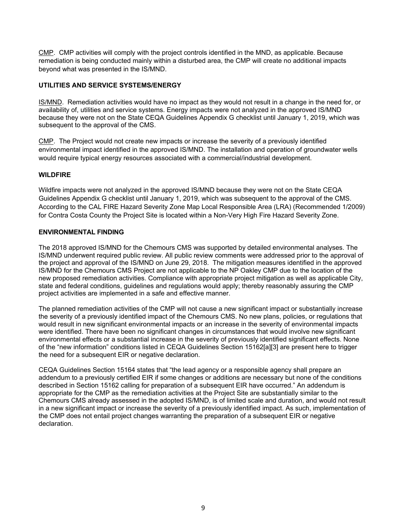CMP. CMP activities will comply with the project controls identified in the MND, as applicable. Because remediation is being conducted mainly within a disturbed area, the CMP will create no additional impacts beyond what was presented in the IS/MND.

# **UTILITIES AND SERVICE SYSTEMS/ENERGY**

IS/MND. Remediation activities would have no impact as they would not result in a change in the need for, or availability of, utilities and service systems. Energy impacts were not analyzed in the approved IS/MND because they were not on the State CEQA Guidelines Appendix G checklist until January 1, 2019, which was subsequent to the approval of the CMS.

CMP. The Project would not create new impacts or increase the severity of a previously identified environmental impact identified in the approved IS/MND. The installation and operation of groundwater wells would require typical energy resources associated with a commercial/industrial development.

### **WILDFIRE**

Wildfire impacts were not analyzed in the approved IS/MND because they were not on the State CEQA Guidelines Appendix G checklist until January 1, 2019, which was subsequent to the approval of the CMS. According to the CAL FIRE Hazard Severity Zone Map Local Responsible Area (LRA) (Recommended 1/2009) for Contra Costa County the Project Site is located within a Non-Very High Fire Hazard Severity Zone.

#### **ENVIRONMENTAL FINDING**

The 2018 approved IS/MND for the Chemours CMS was supported by detailed environmental analyses. The IS/MND underwent required public review. All public review comments were addressed prior to the approval of the project and approval of the IS/MND on June 29, 2018. The mitigation measures identified in the approved IS/MND for the Chemours CMS Project are not applicable to the NP Oakley CMP due to the location of the new proposed remediation activities. Compliance with appropriate project mitigation as well as applicable City, state and federal conditions, guidelines and regulations would apply; thereby reasonably assuring the CMP project activities are implemented in a safe and effective manner.

The planned remediation activities of the CMP will not cause a new significant impact or substantially increase the severity of a previously identified impact of the Chemours CMS. No new plans, policies, or regulations that would result in new significant environmental impacts or an increase in the severity of environmental impacts were identified. There have been no significant changes in circumstances that would involve new significant environmental effects or a substantial increase in the severity of previously identified significant effects. None of the "new information" conditions listed in CEQA Guidelines Section 15162[a][3] are present here to trigger the need for a subsequent EIR or negative declaration.

CEQA Guidelines Section 15164 states that "the lead agency or a responsible agency shall prepare an addendum to a previously certified EIR if some changes or additions are necessary but none of the conditions described in Section 15162 calling for preparation of a subsequent EIR have occurred." An addendum is appropriate for the CMP as the remediation activities at the Project Site are substantially similar to the Chemours CMS already assessed in the adopted IS/MND, is of limited scale and duration, and would not result in a new significant impact or increase the severity of a previously identified impact. As such, implementation of the CMP does not entail project changes warranting the preparation of a subsequent EIR or negative declaration.